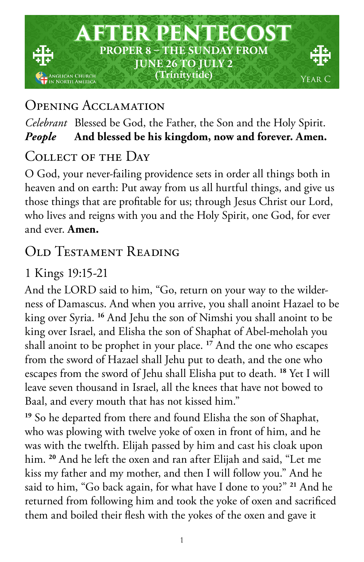

## Opening Acclamation

### *Celebrant* Blessed be God, the Father, the Son and the Holy Spirit. *People* **And blessed be his kingdom, now and forever. Amen.**

## COLLECT OF THE DAY

O God, your never-failing providence sets in order all things both in heaven and on earth: Put away from us all hurtful things, and give us those things that are profitable for us; through Jesus Christ our Lord, who lives and reigns with you and the Holy Spirit, one God, for ever and ever. **Amen.**

# OLD TESTAMENT READING

## 1 Kings 19:15-21

And the LORD said to him, "Go, return on your way to the wilderness of Damascus. And when you arrive, you shall anoint Hazael to be king over Syria. **<sup>16</sup>** And Jehu the son of Nimshi you shall anoint to be king over Israel, and Elisha the son of Shaphat of Abel-meholah you shall anoint to be prophet in your place. **<sup>17</sup>** And the one who escapes from the sword of Hazael shall Jehu put to death, and the one who escapes from the sword of Jehu shall Elisha put to death. **<sup>18</sup>** Yet I will leave seven thousand in Israel, all the knees that have not bowed to Baal, and every mouth that has not kissed him."

**<sup>19</sup>** So he departed from there and found Elisha the son of Shaphat, who was plowing with twelve yoke of oxen in front of him, and he was with the twelfth. Elijah passed by him and cast his cloak upon him. **<sup>20</sup>** And he left the oxen and ran after Elijah and said, "Let me kiss my father and my mother, and then I will follow you." And he said to him, "Go back again, for what have I done to you?" **<sup>21</sup>** And he returned from following him and took the yoke of oxen and sacrificed them and boiled their flesh with the yokes of the oxen and gave it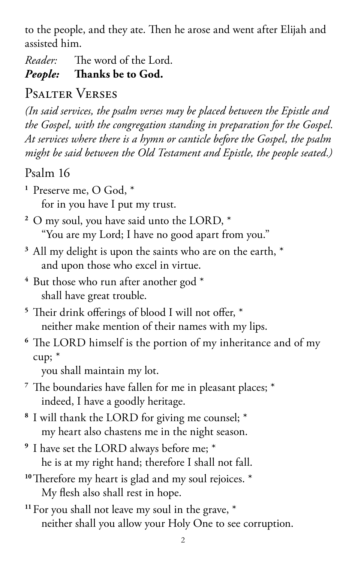to the people, and they ate. Then he arose and went after Elijah and assisted him.

*Reader:* The word of the Lord.

*People:* **Thanks be to God.** 

# Psalter Verses

*(In said services, the psalm verses may be placed between the Epistle and the Gospel, with the congregation standing in preparation for the Gospel. At services where there is a hymn or canticle before the Gospel, the psalm might be said between the Old Testament and Epistle, the people seated.)*

# Psalm 16

**<sup>1</sup>** Preserve me, O God, \*

for in you have I put my trust.

- **<sup>2</sup>** O my soul, you have said unto the LORD, \* "You are my Lord; I have no good apart from you."
- **<sup>3</sup>** All my delight is upon the saints who are on the earth, \* and upon those who excel in virtue.
- **<sup>4</sup>** But those who run after another god \* shall have great trouble.
- **<sup>5</sup>** Their drink offerings of blood I will not offer, \* neither make mention of their names with my lips.

## **<sup>6</sup>** The LORD himself is the portion of my inheritance and of my cup; \*

you shall maintain my lot.

- **<sup>7</sup>** The boundaries have fallen for me in pleasant places; \* indeed, I have a goodly heritage.
- **<sup>8</sup>** I will thank the LORD for giving me counsel; \* my heart also chastens me in the night season.
- **<sup>9</sup>** I have set the LORD always before me; \* he is at my right hand; therefore I shall not fall.
- **<sup>10</sup>**Therefore my heart is glad and my soul rejoices. \* My flesh also shall rest in hope.
- **<sup>11</sup>**For you shall not leave my soul in the grave, \* neither shall you allow your Holy One to see corruption.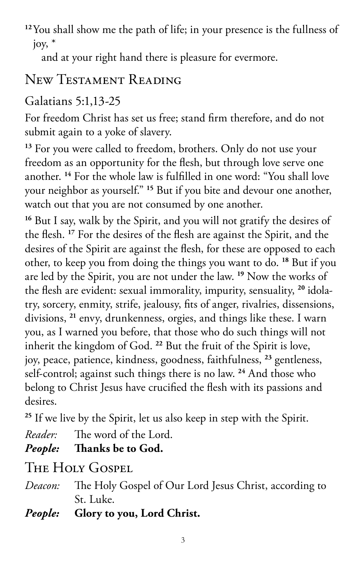**<sup>12</sup>**You shall show me the path of life; in your presence is the fullness of joy, \*

and at your right hand there is pleasure for evermore.

# New Testament Reading

# Galatians 5:1,13-25

For freedom Christ has set us free; stand firm therefore, and do not submit again to a yoke of slavery.

**<sup>13</sup>** For you were called to freedom, brothers. Only do not use your freedom as an opportunity for the flesh, but through love serve one another. **<sup>14</sup>** For the whole law is fulfilled in one word: "You shall love your neighbor as yourself." **<sup>15</sup>** But if you bite and devour one another, watch out that you are not consumed by one another.

**<sup>16</sup>** But I say, walk by the Spirit, and you will not gratify the desires of the flesh. **<sup>17</sup>** For the desires of the flesh are against the Spirit, and the desires of the Spirit are against the flesh, for these are opposed to each other, to keep you from doing the things you want to do. **<sup>18</sup>** But if you are led by the Spirit, you are not under the law. **<sup>19</sup>** Now the works of the flesh are evident: sexual immorality, impurity, sensuality, **<sup>20</sup>** idolatry, sorcery, enmity, strife, jealousy, fits of anger, rivalries, dissensions, divisions, **<sup>21</sup>** envy, drunkenness, orgies, and things like these. I warn you, as I warned you before, that those who do such things will not inherit the kingdom of God. **<sup>22</sup>** But the fruit of the Spirit is love, joy, peace, patience, kindness, goodness, faithfulness, **<sup>23</sup>** gentleness, self-control; against such things there is no law. **<sup>24</sup>** And those who belong to Christ Jesus have crucified the flesh with its passions and desires.

<sup>25</sup> If we live by the Spirit, let us also keep in step with the Spirit.

*Reader:* The word of the Lord.

*People:* **Thanks be to God.** 

The Holy Gospel

- *Deacon:* The Holy Gospel of Our Lord Jesus Christ, according to St. Luke.
- *People:* **Glory to you, Lord Christ.**